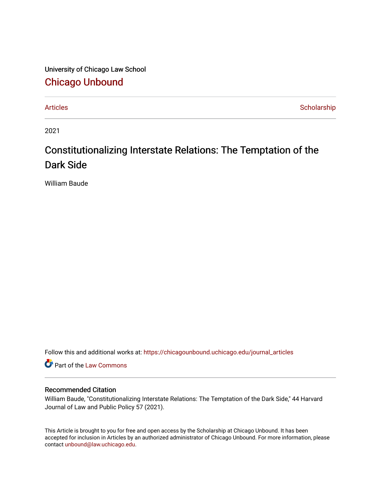University of Chicago Law School [Chicago Unbound](https://chicagounbound.uchicago.edu/)

[Articles](https://chicagounbound.uchicago.edu/journal_articles) **Scholarship** 

2021

# Constitutionalizing Interstate Relations: The Temptation of the Dark Side

William Baude

Follow this and additional works at: [https://chicagounbound.uchicago.edu/journal\\_articles](https://chicagounbound.uchicago.edu/journal_articles?utm_source=chicagounbound.uchicago.edu%2Fjournal_articles%2F10156&utm_medium=PDF&utm_campaign=PDFCoverPages) 

Part of the [Law Commons](http://network.bepress.com/hgg/discipline/578?utm_source=chicagounbound.uchicago.edu%2Fjournal_articles%2F10156&utm_medium=PDF&utm_campaign=PDFCoverPages)

### Recommended Citation

William Baude, "Constitutionalizing Interstate Relations: The Temptation of the Dark Side," 44 Harvard Journal of Law and Public Policy 57 (2021).

This Article is brought to you for free and open access by the Scholarship at Chicago Unbound. It has been accepted for inclusion in Articles by an authorized administrator of Chicago Unbound. For more information, please contact [unbound@law.uchicago.edu](mailto:unbound@law.uchicago.edu).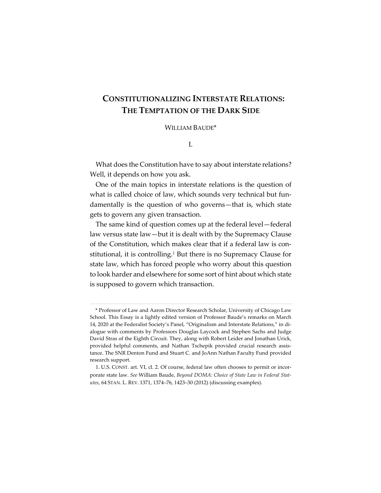## **CONSTITUTIONALIZING INTERSTATE RELATIONS: THE TEMPTATION OF THE DARK SIDE**

#### WILLIAM BAUDE\*

I.

What does the Constitution have to say about interstate relations? Well, it depends on how you ask.

One of the main topics in interstate relations is the question of what is called choice of law, which sounds very technical but fundamentally is the question of who governs—that is, which state gets to govern any given transaction.

The same kind of question comes up at the federal level—federal law versus state law—but it is dealt with by the Supremacy Clause of the Constitution, which makes clear that if a federal law is constitutional, it is controlling.<sup>1</sup> But there is no Supremacy Clause for state law, which has forced people who worry about this question to look harder and elsewhere for some sort of hint about which state is supposed to govern which transaction.

<sup>\*</sup> Professor of Law and Aaron Director Research Scholar, University of Chicago Law School. This Essay is a lightly edited version of Professor Baude's remarks on March 14, 2020 at the Federalist Society's Panel, "Originalism and Interstate Relations," in dialogue with comments by Professors Douglas Laycock and Stephen Sachs and Judge David Stras of the Eighth Circuit. They, along with Robert Leider and Jonathan Urick, provided helpful comments, and Nathan Tschepik provided crucial research assistance. The SNR Denton Fund and Stuart C. and JoAnn Nathan Faculty Fund provided research support.

<sup>1.</sup> U.S. CONST. art. VI, cl. 2. Of course, federal law often chooses to permit or incorporate state law. *See* William Baude, *Beyond DOMA: Choice of State Law in Federal Statutes*, 64 STAN. L. REV. 1371, 1374–76, 1423–30 (2012) (discussing examples).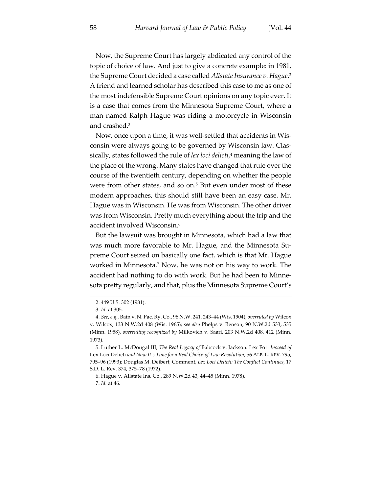Now, the Supreme Court has largely abdicated any control of the topic of choice of law. And just to give a concrete example: in 1981, the Supreme Court decided a case called *Allstate Insurance v. Hague*. 2 A friend and learned scholar has described this case to me as one of the most indefensible Supreme Court opinions on any topic ever. It is a case that comes from the Minnesota Supreme Court, where a man named Ralph Hague was riding a motorcycle in Wisconsin and crashed.3

Now, once upon a time, it was well-settled that accidents in Wisconsin were always going to be governed by Wisconsin law. Classically, states followed the rule of *lex loci delicti*, <sup>4</sup> meaning the law of the place of the wrong. Many states have changed that rule over the course of the twentieth century, depending on whether the people were from other states, and so on.<sup>5</sup> But even under most of these modern approaches, this should still have been an easy case. Mr. Hague was in Wisconsin. He was from Wisconsin. The other driver was from Wisconsin. Pretty much everything about the trip and the accident involved Wisconsin.6

But the lawsuit was brought in Minnesota, which had a law that was much more favorable to Mr. Hague, and the Minnesota Supreme Court seized on basically one fact, which is that Mr. Hague worked in Minnesota.7 Now, he was not on his way to work. The accident had nothing to do with work. But he had been to Minnesota pretty regularly, and that, plus the Minnesota Supreme Court's

6. Hague v. Allstate Ins. Co., 289 N.W.2d 43, 44–45 (Minn. 1978). 7. *Id.* at 46.

<sup>2.</sup> 449 U.S. 302 (1981).

<sup>3.</sup> *Id.* at 305.

<sup>4.</sup> *See, e.g.*, Bain v. N. Pac. Ry. Co., 98 N.W. 241, 243–44 (Wis. 1904), *overruled by* Wilcox v. Wilcox, 133 N.W.2d 408 (Wis. 1965); *see also* Phelps v. Benson, 90 N.W.2d 533, 535 (Minn. 1958), *overruling recognized by* Milkovich v. Saari, 203 N.W.2d 408, 412 (Minn. 1973).

<sup>5.</sup> Luther L. McDougal III, *The Real Legacy of* Babcock v. Jackson*:* Lex Fori *Instead of*  Lex Loci Delicti *and Now It's Time for a Real Choice-of-Law Revolution*, 56 ALB. L. REV. 795, 795–96 (1993); Douglas M. Deibert, Comment, *Lex Loci Delicti: The Conflict Continues*, 17 S.D. L. Rev. 374, 375–78 (1972).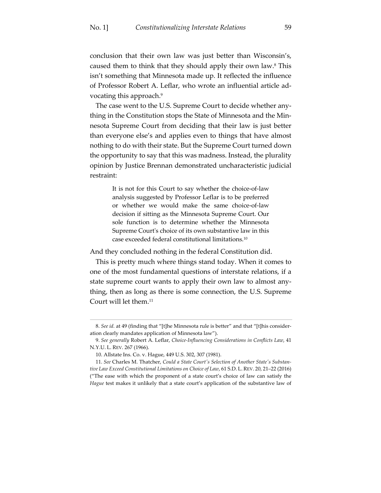conclusion that their own law was just better than Wisconsin's, caused them to think that they should apply their own law.8 This isn't something that Minnesota made up. It reflected the influence of Professor Robert A. Leflar, who wrote an influential article advocating this approach.9

The case went to the U.S. Supreme Court to decide whether anything in the Constitution stops the State of Minnesota and the Minnesota Supreme Court from deciding that their law is just better than everyone else's and applies even to things that have almost nothing to do with their state. But the Supreme Court turned down the opportunity to say that this was madness. Instead, the plurality opinion by Justice Brennan demonstrated uncharacteristic judicial restraint:

> It is not for this Court to say whether the choice-of-law analysis suggested by Professor Leflar is to be preferred or whether we would make the same choice-of-law decision if sitting as the Minnesota Supreme Court. Our sole function is to determine whether the Minnesota Supreme Court's choice of its own substantive law in this case exceeded federal constitutional limitations.10

And they concluded nothing in the federal Constitution did.

This is pretty much where things stand today. When it comes to one of the most fundamental questions of interstate relations, if a state supreme court wants to apply their own law to almost anything, then as long as there is some connection, the U.S. Supreme Court will let them.11

<sup>8.</sup> *See id.* at 49 (finding that "[t]he Minnesota rule is better" and that "[t]his consideration clearly mandates application of Minnesota law").

<sup>9.</sup> *See generally* Robert A. Leflar, *Choice-Influencing Considerations in Conflicts Law*, 41 N.Y.U. L. REV. 267 (1966).

<sup>10.</sup> Allstate Ins. Co. v. Hague, 449 U.S. 302, 307 (1981).

<sup>11.</sup> *See* Charles M. Thatcher, *Could a State Court's Selection of Another State's Substantive Law Exceed Constitutional Limitations on Choice of Law*, 61 S.D. L. REV. 20, 21–22 (2016) ("The ease with which the proponent of a state court's choice of law can satisfy the *Hague* test makes it unlikely that a state court's application of the substantive law of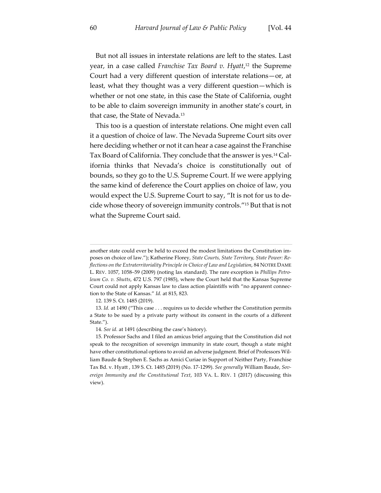But not all issues in interstate relations are left to the states. Last year, in a case called *Franchise Tax Board v. Hyatt*, <sup>12</sup> the Supreme Court had a very different question of interstate relations—or, at least, what they thought was a very different question—which is whether or not one state, in this case the State of California, ought to be able to claim sovereign immunity in another state's court, in that case, the State of Nevada.13

This too is a question of interstate relations. One might even call it a question of choice of law. The Nevada Supreme Court sits over here deciding whether or not it can hear a case against the Franchise Tax Board of California. They conclude that the answer is yes.14 California thinks that Nevada's choice is constitutionally out of bounds, so they go to the U.S. Supreme Court. If we were applying the same kind of deference the Court applies on choice of law, you would expect the U.S. Supreme Court to say, "It is not for us to decide whose theory of sovereign immunity controls."15 But that is not what the Supreme Court said.

12. 139 S. Ct. 1485 (2019).

13. *Id.* at 1490 ("This case . . . requires us to decide whether the Constitution permits a State to be sued by a private party without its consent in the courts of a different State.").

14. *See id.* at 1491 (describing the case's history).

15. Professor Sachs and I filed an amicus brief arguing that the Constitution did not speak to the recognition of sovereign immunity in state court, though a state might have other constitutional options to avoid an adverse judgment. Brief of Professors William Baude & Stephen E. Sachs as Amici Curiae in Support of Neither Party, Franchise Tax Bd. v. Hyatt , 139 S. Ct. 1485 (2019) (No. 17-1299). *See generally* William Baude, *Sovereign Immunity and the Constitutional Text*, 103 VA. L. REV. 1 (2017) (discussing this view).

another state could ever be held to exceed the modest limitations the Constitution imposes on choice of law."); Katherine Florey, *State Courts, State Territory, State Power: Reflections on the Extraterritoriality Principle in Choice of Law and Legislation*, 84 NOTRE DAME L. REV. 1057, 1058–59 (2009) (noting lax standard). The rare exception is *Phillips Petroleum Co. v. Shutts*, 472 U.S. 797 (1985), where the Court held that the Kansas Supreme Court could not apply Kansas law to class action plaintiffs with "no apparent connection to the State of Kansas." *Id.* at 815, 823.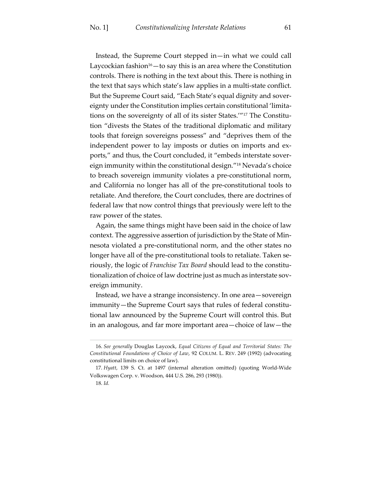Instead, the Supreme Court stepped in—in what we could call Laycockian fashion<sup>16</sup>—to say this is an area where the Constitution controls. There is nothing in the text about this. There is nothing in the text that says which state's law applies in a multi-state conflict. But the Supreme Court said, "Each State's equal dignity and sovereignty under the Constitution implies certain constitutional 'limitations on the sovereignty of all of its sister States.'"17 The Constitution "divests the States of the traditional diplomatic and military tools that foreign sovereigns possess" and "deprives them of the independent power to lay imposts or duties on imports and exports," and thus, the Court concluded, it "embeds interstate sovereign immunity within the constitutional design."18 Nevada's choice to breach sovereign immunity violates a pre-constitutional norm, and California no longer has all of the pre-constitutional tools to retaliate. And therefore, the Court concludes, there are doctrines of federal law that now control things that previously were left to the raw power of the states.

Again, the same things might have been said in the choice of law context. The aggressive assertion of jurisdiction by the State of Minnesota violated a pre-constitutional norm, and the other states no longer have all of the pre-constitutional tools to retaliate. Taken seriously, the logic of *Franchise Tax Board* should lead to the constitutionalization of choice of law doctrine just as much as interstate sovereign immunity.

Instead, we have a strange inconsistency. In one area—sovereign immunity—the Supreme Court says that rules of federal constitutional law announced by the Supreme Court will control this. But in an analogous, and far more important area—choice of law—the

<sup>16.</sup> *See generally* Douglas Laycock, *Equal Citizens of Equal and Territorial States: The Constitutional Foundations of Choice of Law*, 92 COLUM. L. REV. 249 (1992) (advocating constitutional limits on choice of law).

<sup>17.</sup> *Hyatt*, 139 S. Ct. at 1497 (internal alteration omitted) (quoting World-Wide Volkswagen Corp. v. Woodson, 444 U.S. 286, 293 (1980)).

<sup>18.</sup> *Id.*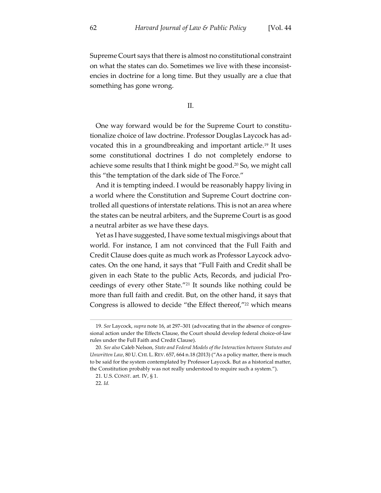Supreme Court says that there is almost no constitutional constraint on what the states can do. Sometimes we live with these inconsistencies in doctrine for a long time. But they usually are a clue that something has gone wrong.

II.

One way forward would be for the Supreme Court to constitutionalize choice of law doctrine. Professor Douglas Laycock has advocated this in a groundbreaking and important article.<sup>19</sup> It uses some constitutional doctrines I do not completely endorse to achieve some results that I think might be good.<sup>20</sup> So, we might call this "the temptation of the dark side of The Force."

And it is tempting indeed. I would be reasonably happy living in a world where the Constitution and Supreme Court doctrine controlled all questions of interstate relations. This is not an area where the states can be neutral arbiters, and the Supreme Court is as good a neutral arbiter as we have these days.

Yet as I have suggested, I have some textual misgivings about that world. For instance, I am not convinced that the Full Faith and Credit Clause does quite as much work as Professor Laycock advocates. On the one hand, it says that "Full Faith and Credit shall be given in each State to the public Acts, Records, and judicial Proceedings of every other State."21 It sounds like nothing could be more than full faith and credit. But, on the other hand, it says that Congress is allowed to decide "the Effect thereof,"<sup>22</sup> which means

<sup>19.</sup> *See* Laycock, *supra* note 16, at 297–301 (advocating that in the absence of congressional action under the Effects Clause, the Court should develop federal choice-of-law rules under the Full Faith and Credit Clause).

<sup>20.</sup> *See also* Caleb Nelson, *State and Federal Models of the Interaction between Statutes and Unwritten Law*, 80 U. CHI. L. REV. 657, 664 n.18 (2013) ("As a policy matter, there is much to be said for the system contemplated by Professor Laycock. But as a historical matter, the Constitution probably was not really understood to require such a system.").

<sup>21.</sup> U.S. CONST. art. IV, § 1.

<sup>22.</sup> *Id.*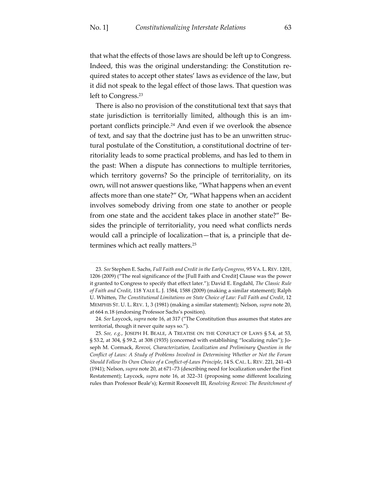that what the effects of those laws are should be left up to Congress. Indeed, this was the original understanding: the Constitution required states to accept other states' laws as evidence of the law, but it did not speak to the legal effect of those laws. That question was left to Congress.<sup>23</sup>

There is also no provision of the constitutional text that says that state jurisdiction is territorially limited, although this is an important conflicts principle.24 And even if we overlook the absence of text, and say that the doctrine just has to be an unwritten structural postulate of the Constitution, a constitutional doctrine of territoriality leads to some practical problems, and has led to them in the past: When a dispute has connections to multiple territories, which territory governs? So the principle of territoriality, on its own, will not answer questions like, "What happens when an event affects more than one state?" Or, "What happens when an accident involves somebody driving from one state to another or people from one state and the accident takes place in another state?" Besides the principle of territoriality, you need what conflicts nerds would call a principle of localization—that is, a principle that determines which act really matters.25

<sup>23.</sup> *See* Stephen E. Sachs, *Full Faith and Credit in the Early Congress*, 95 VA. L. REV. 1201, 1206 (2009) ("The real significance of the [Full Faith and Credit] Clause was the power it granted to Congress to specify that effect later."); David E. Engdahl, *The Classic Rule of Faith and Credit*, 118 YALE L. J. 1584, 1588 (2009) (making a similar statement); Ralph U. Whitten, *The Constitutional Limitations on State Choice of Law: Full Faith and Credit*, 12 MEMPHIS ST. U. L. REV. 1, 3 (1981) (making a similar statement); Nelson, *supra* note 20, at 664 n.18 (endorsing Professor Sachs's position).

<sup>24.</sup> *See* Laycock, *supra* note 16, at 317 ("The Constitution thus assumes that states are territorial, though it never quite says so.").

<sup>25.</sup> *See, e.g.*, JOSEPH H. BEALE, A TREATISE ON THE CONFLICT OF LAWS § 5.4, at 53, § 53.2, at 304, § 59.2, at 308 (1935) (concerned with establishing "localizing rules"); Joseph M. Cormack, *Renvoi, Characterization, Localization and Preliminary Question in the Conflict of Laws: A Study of Problems Involved in Determining Whether or Not the Forum Should Follow Its Own Choice of a Conflict-of-Laws Principle*, 14 S. CAL. L. REV. 221, 241–43 (1941); Nelson, *supra* note 20, at 671–73 (describing need for localization under the First Restatement); Laycock, *supra* note 16, at 322–31 (proposing some different localizing rules than Professor Beale's); Kermit Roosevelt III, *Resolving Renvoi: The Bewitchment of*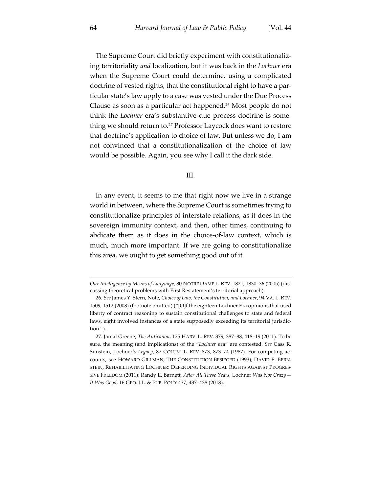The Supreme Court did briefly experiment with constitutionalizing territoriality *and* localization, but it was back in the *Lochner* era when the Supreme Court could determine, using a complicated doctrine of vested rights, that the constitutional right to have a particular state's law apply to a case was vested under the Due Process Clause as soon as a particular act happened.26 Most people do not think the *Lochner* era's substantive due process doctrine is something we should return to.27 Professor Laycock does want to restore that doctrine's application to choice of law. But unless we do, I am not convinced that a constitutionalization of the choice of law would be possible. Again, you see why I call it the dark side.

#### III.

In any event, it seems to me that right now we live in a strange world in between, where the Supreme Court is sometimes trying to constitutionalize principles of interstate relations, as it does in the sovereign immunity context, and then, other times, continuing to abdicate them as it does in the choice-of-law context, which is much, much more important. If we are going to constitutionalize this area, we ought to get something good out of it.

*Our Intelligence by Means of Language*, 80 NOTRE DAME L. REV. 1821, 1830–36 (2005) (discussing theoretical problems with First Restatement's territorial approach).

<sup>26.</sup> *See* James Y. Stern, Note, *Choice of Law, the Constitution, and Lochner*, 94 VA. L. REV. 1509, 1512 (2008) (footnote omitted) ("[O]f the eighteen Lochner Era opinions that used liberty of contract reasoning to sustain constitutional challenges to state and federal laws, eight involved instances of a state supposedly exceeding its territorial jurisdiction.").

<sup>27.</sup> Jamal Greene, *The Anticanon*, 125 HARV. L. REV. 379, 387–88, 418–19 (2011). To be sure, the meaning (and implications) of the "*Lochner* era" are contested. *See* Cass R. Sunstein, Lochner*'s Legacy*, 87 COLUM. L. REV. 873, 873–74 (1987). For competing accounts, see HOWARD GILLMAN, THE CONSTITUTION BESIEGED (1993); DAVID E. BERN-STEIN, REHABILITATING LOCHNER: DEFENDING INDIVIDUAL RIGHTS AGAINST PROGRES-SIVE FREEDOM (2011); Randy E. Barnett, *After All These Years,* Lochner *Was Not Crazy— It Was Good*, 16 GEO. J.L. & PUB. POL'Y 437, 437–438 (2018).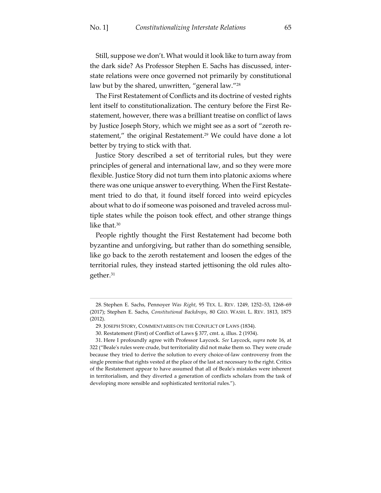Still, suppose we don't. What would it look like to turn away from the dark side? As Professor Stephen E. Sachs has discussed, interstate relations were once governed not primarily by constitutional law but by the shared, unwritten, "general law."<sup>28</sup>

The First Restatement of Conflicts and its doctrine of vested rights lent itself to constitutionalization. The century before the First Restatement, however, there was a brilliant treatise on conflict of laws by Justice Joseph Story, which we might see as a sort of "zeroth restatement," the original Restatement.<sup>29</sup> We could have done a lot better by trying to stick with that.

Justice Story described a set of territorial rules, but they were principles of general and international law, and so they were more flexible. Justice Story did not turn them into platonic axioms where there was one unique answer to everything. When the First Restatement tried to do that, it found itself forced into weird epicycles about what to do if someone was poisoned and traveled across multiple states while the poison took effect, and other strange things like that.<sup>30</sup>

People rightly thought the First Restatement had become both byzantine and unforgiving, but rather than do something sensible, like go back to the zeroth restatement and loosen the edges of the territorial rules, they instead started jettisoning the old rules altogether.31

<sup>28.</sup> Stephen E. Sachs, Pennoyer *Was Right*, 95 TEX. L. REV. 1249, 1252–53, 1268–69 (2017); Stephen E. Sachs, *Constitutional Backdrops*, 80 GEO. WASH. L. REV. 1813, 1875 (2012).

<sup>29.</sup> JOSEPH STORY, COMMENTARIES ON THE CONFLICT OF LAWS (1834).

<sup>30.</sup> Restatement (First) of Conflict of Laws § 377, cmt. a, illus. 2 (1934).

<sup>31.</sup> Here I profoundly agree with Professor Laycock. *See* Laycock, *supra* note 16, at 322 ("Beale's rules were crude, but territoriality did not make them so. They were crude because they tried to derive the solution to every choice-of-law controversy from the single premise that rights vested at the place of the last act necessary to the right. Critics of the Restatement appear to have assumed that all of Beale's mistakes were inherent in territorialism, and they diverted a generation of conflicts scholars from the task of developing more sensible and sophisticated territorial rules.").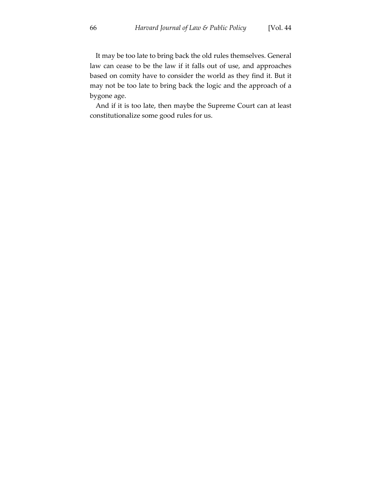It may be too late to bring back the old rules themselves. General law can cease to be the law if it falls out of use, and approaches based on comity have to consider the world as they find it. But it may not be too late to bring back the logic and the approach of a bygone age.

And if it is too late, then maybe the Supreme Court can at least constitutionalize some good rules for us.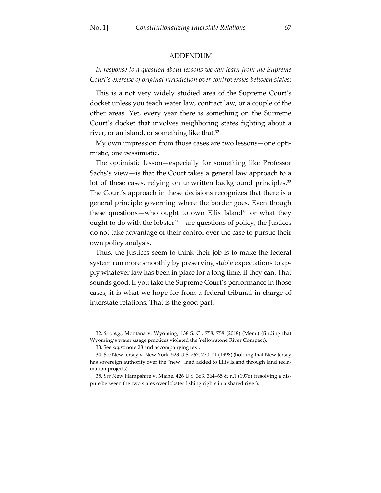#### ADDENDUM

*In response to a question about lessons we can learn from the Supreme Court's exercise of original jurisdiction over controversies between states:*

This is a not very widely studied area of the Supreme Court's docket unless you teach water law, contract law, or a couple of the other areas. Yet, every year there is something on the Supreme Court's docket that involves neighboring states fighting about a river, or an island, or something like that.<sup>32</sup>

My own impression from those cases are two lessons—one optimistic, one pessimistic.

The optimistic lesson—especially for something like Professor Sachs's view—is that the Court takes a general law approach to a lot of these cases, relying on unwritten background principles.<sup>33</sup> The Court's approach in these decisions recognizes that there is a general principle governing where the border goes. Even though these questions—who ought to own Ellis Island<sup>34</sup> or what they ought to do with the lobster<sup>35</sup> — are questions of policy, the Justices do not take advantage of their control over the case to pursue their own policy analysis.

Thus, the Justices seem to think their job is to make the federal system run more smoothly by preserving stable expectations to apply whatever law has been in place for a long time, if they can. That sounds good. If you take the Supreme Court's performance in those cases, it is what we hope for from a federal tribunal in charge of interstate relations. That is the good part.

<sup>32.</sup> *See, e.g.*, Montana v. Wyoming, 138 S. Ct. 758, 758 (2018) (Mem.) (finding that Wyoming's water usage practices violated the Yellowstone River Compact).

<sup>33.</sup> See *supra* note 28 and accompanying text.

<sup>34.</sup> *See* New Jersey v. New York, 523 U.S. 767, 770–71 (1998) (holding that New Jersey has sovereign authority over the "new" land added to Ellis Island through land reclamation projects).

<sup>35.</sup> *See* New Hampshire v. Maine, 426 U.S. 363, 364–65 & n.1 (1976) (resolving a dispute between the two states over lobster fishing rights in a shared river).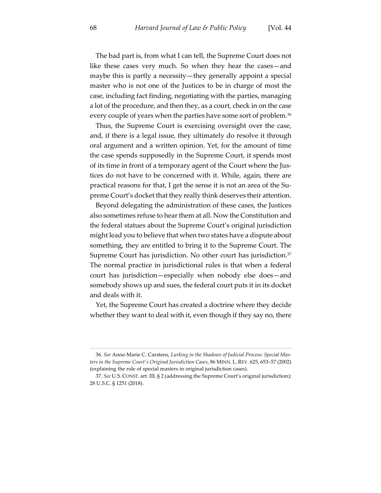The bad part is, from what I can tell, the Supreme Court does not like these cases very much. So when they hear the cases—and maybe this is partly a necessity—they generally appoint a special master who is not one of the Justices to be in charge of most the case, including fact finding, negotiating with the parties, managing a lot of the procedure, and then they, as a court, check in on the case every couple of years when the parties have some sort of problem.<sup>36</sup>

Thus, the Supreme Court is exercising oversight over the case, and, if there is a legal issue, they ultimately do resolve it through oral argument and a written opinion. Yet, for the amount of time the case spends supposedly in the Supreme Court, it spends most of its time in front of a temporary agent of the Court where the Justices do not have to be concerned with it. While, again, there are practical reasons for that, I get the sense it is not an area of the Supreme Court's docket that they really think deserves their attention.

Beyond delegating the administration of these cases, the Justices also sometimes refuse to hear them at all. Now the Constitution and the federal statues about the Supreme Court's original jurisdiction might lead you to believe that when two states have a dispute about something, they are entitled to bring it to the Supreme Court. The Supreme Court has jurisdiction. No other court has jurisdiction.<sup>37</sup> The normal practice in jurisdictional rules is that when a federal court has jurisdiction—especially when nobody else does—and somebody shows up and sues, the federal court puts it in its docket and deals with it.

Yet, the Supreme Court has created a doctrine where they decide whether they want to deal with it, even though if they say no, there

<sup>36.</sup> *See* Anne-Marie C. Carstens, *Lurking in the Shadows of Judicial Process: Special Masters in the Supreme Court's Original Jurisdiction Cases*, 86 MINN. L. REV. 625, 653–57 (2002) (explaining the role of special masters in original jurisdiction cases).

<sup>37.</sup> *See* U.S. CONST. art. III, § 2 (addressing the Supreme Court's original jurisdiction); 28 U.S.C. § 1251 (2018).